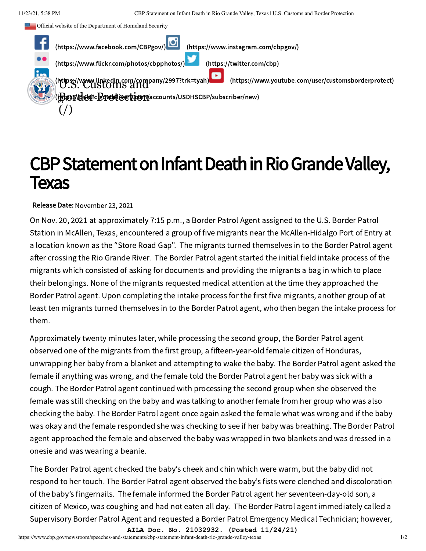



## CBP Statement on Infant Death in Rio Grande Valley, Texas

Release Date: November 23, 2021

On Nov. 20, 2021 at approximately 7:15 p.m., a Border Patrol Agent assigned to the U.S. Border Patrol Station in McAllen, Texas, encountered a group of five migrants near the McAllen-Hidalgo Port of Entry at a location known as the "Store Road Gap". The migrants turned themselves in to the Border Patrol agent after crossing the Rio Grande River. The Border Patrol agent started the initial field intake process of the migrants which consisted of asking for documents and providing the migrants a bag in which to place their belongings. None of the migrants requested medical attention at the time they approached the Border Patrol agent. Upon completing the intake process for the first five migrants, another group of at least ten migrants turned themselves in to the Border Patrol agent, who then began the intake process for them.

Approximately twenty minutes later, while processing the second group, the Border Patrol agent observed one of the migrants from the first group, a fifteen-year-old female citizen of Honduras, unwrapping her baby from a blanket and attempting to wake the baby. The Border Patrol agent asked the female if anything was wrong, and the female told the Border Patrol agent her baby was sick with a cough. The Border Patrol agent continued with processing the second group when she observed the female was still checking on the baby and was talking to another female from her group who was also checking the baby. The Border Patrol agent once again asked the female what was wrong and if the baby was okay and the female responded she was checking to see if her baby was breathing. The Border Patrol agent approached the female and observed the baby was wrapped in two blankets and was dressed in a onesie and was wearing a beanie.

The Border Patrol agent checked the baby's cheek and chin which were warm, but the baby did not respond to her touch. The Border Patrol agent observed the baby's fists were clenched and discoloration of the baby's fingernails. The female informed the Border Patrol agent her seventeen-day-old son, a citizen of Mexico, was coughing and had not eaten all day. The Border Patrol agent immediately called a Supervisory Border Patrol Agent and requested a Border Patrol Emergency Medical Technician; however,